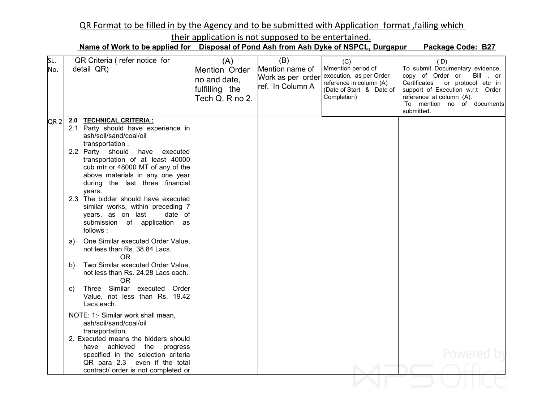## QR Format to be filled in by the Agency and to be submitted with Application format ,failing which

their application is not supposed to be entertained.

Name of Work to be applied for Disposal of Pond Ash from Ash Dyke of NSPCL, Durgapur Package Code: B27

| SL. | QR Criteria (refer notice for                                                                                                                                                           | (A)                                                                | (B)                                                      | (C)                                                                                                                 | (D)                                                                                                                                                                                                            |
|-----|-----------------------------------------------------------------------------------------------------------------------------------------------------------------------------------------|--------------------------------------------------------------------|----------------------------------------------------------|---------------------------------------------------------------------------------------------------------------------|----------------------------------------------------------------------------------------------------------------------------------------------------------------------------------------------------------------|
| No. | detail QR)                                                                                                                                                                              | Mention Order<br>no and date,<br>fulfilling the<br>Tech Q. R no 2. | Mention name of<br>Work as per order<br>ref. In Column A | Mmention period of<br>execution, as per Order<br>reference in column (A)<br>(Date of Start & Date of<br>Completion) | To submit Documentary evidence,<br>copy of Order or<br>Bill, or<br>Certificates or protocol etc in<br>support of Execution w.r.t Order<br>reference at column (A).<br>To mention no of documents<br>submitted. |
| QR2 | <b>TECHNICAL CRITERIA:</b><br>2.0<br>2.1 Party should have experience in                                                                                                                |                                                                    |                                                          |                                                                                                                     |                                                                                                                                                                                                                |
|     | ash/soil/sand/coal/oil<br>transportation.                                                                                                                                               |                                                                    |                                                          |                                                                                                                     |                                                                                                                                                                                                                |
|     | 2.2 Party should have executed<br>transportation of at least 40000<br>cub mtr or 48000 MT of any of the<br>above materials in any one year<br>during the last three financial<br>years. |                                                                    |                                                          |                                                                                                                     |                                                                                                                                                                                                                |
|     | 2.3 The bidder should have executed<br>similar works, within preceding 7<br>years, as on last<br>date of<br>submission of application as<br>follows:                                    |                                                                    |                                                          |                                                                                                                     |                                                                                                                                                                                                                |
|     | One Similar executed Order Value,<br>a)<br>not less than Rs. 38.84 Lacs.<br><b>OR</b>                                                                                                   |                                                                    |                                                          |                                                                                                                     |                                                                                                                                                                                                                |
|     | Two Similar executed Order Value.<br>b)<br>not less than Rs. 24.28 Lacs each.<br><b>OR</b>                                                                                              |                                                                    |                                                          |                                                                                                                     |                                                                                                                                                                                                                |
|     | Three Similar executed Order<br>C)<br>Value, not less than Rs. 19.42<br>Lacs each.                                                                                                      |                                                                    |                                                          |                                                                                                                     |                                                                                                                                                                                                                |
|     | NOTE: 1:- Similar work shall mean,<br>ash/soil/sand/coal/oil<br>transportation.                                                                                                         |                                                                    |                                                          |                                                                                                                     |                                                                                                                                                                                                                |
|     | 2. Executed means the bidders should<br>progress<br>have achieved the<br>specified in the selection criteria<br>QR para 2.3 even if the total                                           |                                                                    |                                                          |                                                                                                                     | Powered by                                                                                                                                                                                                     |
|     | contract/ order is not completed or                                                                                                                                                     |                                                                    |                                                          |                                                                                                                     |                                                                                                                                                                                                                |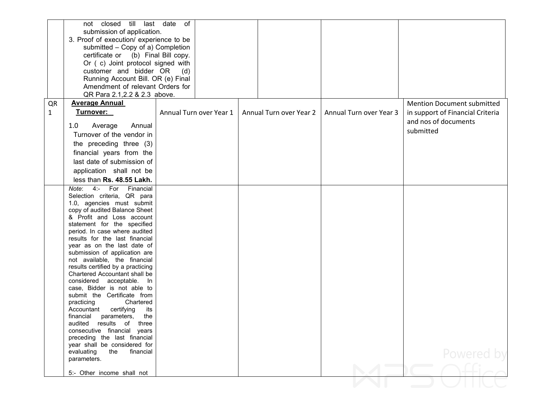|              | not closed till last date of                                    |                         |                         |                         |                                   |
|--------------|-----------------------------------------------------------------|-------------------------|-------------------------|-------------------------|-----------------------------------|
|              | submission of application.                                      |                         |                         |                         |                                   |
|              | 3. Proof of execution/ experience to be                         |                         |                         |                         |                                   |
|              | submitted - Copy of a) Completion                               |                         |                         |                         |                                   |
|              | certificate or (b) Final Bill copy.                             |                         |                         |                         |                                   |
|              | Or (c) Joint protocol signed with                               |                         |                         |                         |                                   |
|              | customer and bidder OR                                          | (d)                     |                         |                         |                                   |
|              | Running Account Bill. OR (e) Final                              |                         |                         |                         |                                   |
|              | Amendment of relevant Orders for                                |                         |                         |                         |                                   |
|              | QR Para 2.1, 2.2 & 2.3 above.                                   |                         |                         |                         |                                   |
| QR           | <b>Average Annual</b>                                           |                         |                         |                         | <b>Mention Document submitted</b> |
| $\mathbf{1}$ | Turnover:                                                       | Annual Turn over Year 1 | Annual Turn over Year 2 | Annual Turn over Year 3 | in support of Financial Criteria  |
|              |                                                                 |                         |                         |                         | and nos of documents              |
|              | Average<br>1.0<br>Annual                                        |                         |                         |                         | submitted                         |
|              | Turnover of the vendor in                                       |                         |                         |                         |                                   |
|              | the preceding three (3)                                         |                         |                         |                         |                                   |
|              | financial years from the                                        |                         |                         |                         |                                   |
|              | last date of submission of                                      |                         |                         |                         |                                   |
|              | application shall not be                                        |                         |                         |                         |                                   |
|              | less than Rs. 48.55 Lakh.                                       |                         |                         |                         |                                   |
|              | Note: 4:- For Financial                                         |                         |                         |                         |                                   |
|              | Selection criteria, QR para                                     |                         |                         |                         |                                   |
|              | 1.0, agencies must submit                                       |                         |                         |                         |                                   |
|              | copy of audited Balance Sheet                                   |                         |                         |                         |                                   |
|              | & Profit and Loss account                                       |                         |                         |                         |                                   |
|              | statement for the specified                                     |                         |                         |                         |                                   |
|              | period. In case where audited<br>results for the last financial |                         |                         |                         |                                   |
|              | year as on the last date of                                     |                         |                         |                         |                                   |
|              | submission of application are                                   |                         |                         |                         |                                   |
|              | not available, the financial                                    |                         |                         |                         |                                   |
|              | results certified by a practicing                               |                         |                         |                         |                                   |
|              | Chartered Accountant shall be                                   |                         |                         |                         |                                   |
|              | considered acceptable. In                                       |                         |                         |                         |                                   |
|              | case, Bidder is not able to<br>submit the Certificate from      |                         |                         |                         |                                   |
|              | practicing<br>Chartered                                         |                         |                         |                         |                                   |
|              | Accountant certifying<br>its                                    |                         |                         |                         |                                   |
|              | financial<br>parameters,<br>the                                 |                         |                         |                         |                                   |
|              | audited results of<br>three                                     |                         |                         |                         |                                   |
|              | consecutive financial years                                     |                         |                         |                         |                                   |
|              | preceding the last financial                                    |                         |                         |                         |                                   |
|              | year shall be considered for                                    |                         |                         |                         |                                   |
|              | evaluating<br>the<br>financial<br>parameters.                   |                         |                         |                         | Powered by                        |
|              |                                                                 |                         |                         |                         |                                   |
|              | 5:- Other income shall not                                      |                         |                         |                         |                                   |
|              |                                                                 |                         |                         |                         |                                   |